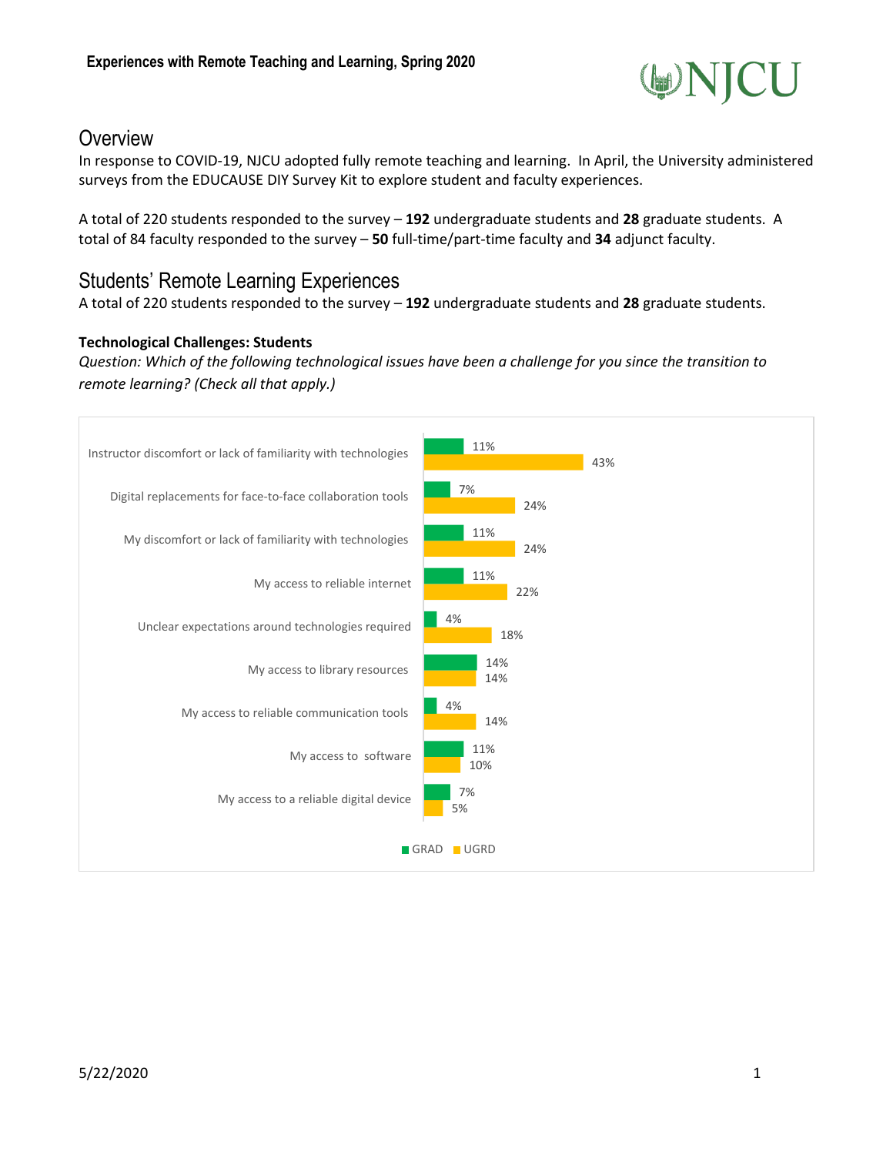

## **Overview**

In response to COVID-19, NJCU adopted fully remote teaching and learning. In April, the University administered surveys from the EDUCAUSE DIY Survey Kit to explore student and faculty experiences.

A total of 220 students responded to the survey – **192** undergraduate students and **28** graduate students. A total of 84 faculty responded to the survey – **50** full-time/part-time faculty and **34** adjunct faculty.

### Students' Remote Learning Experiences

A total of 220 students responded to the survey – **192** undergraduate students and **28** graduate students.

### **Technological Challenges: Students**

*Question: Which of the following technological issues have been a challenge for you since the transition to remote learning? (Check all that apply.)*

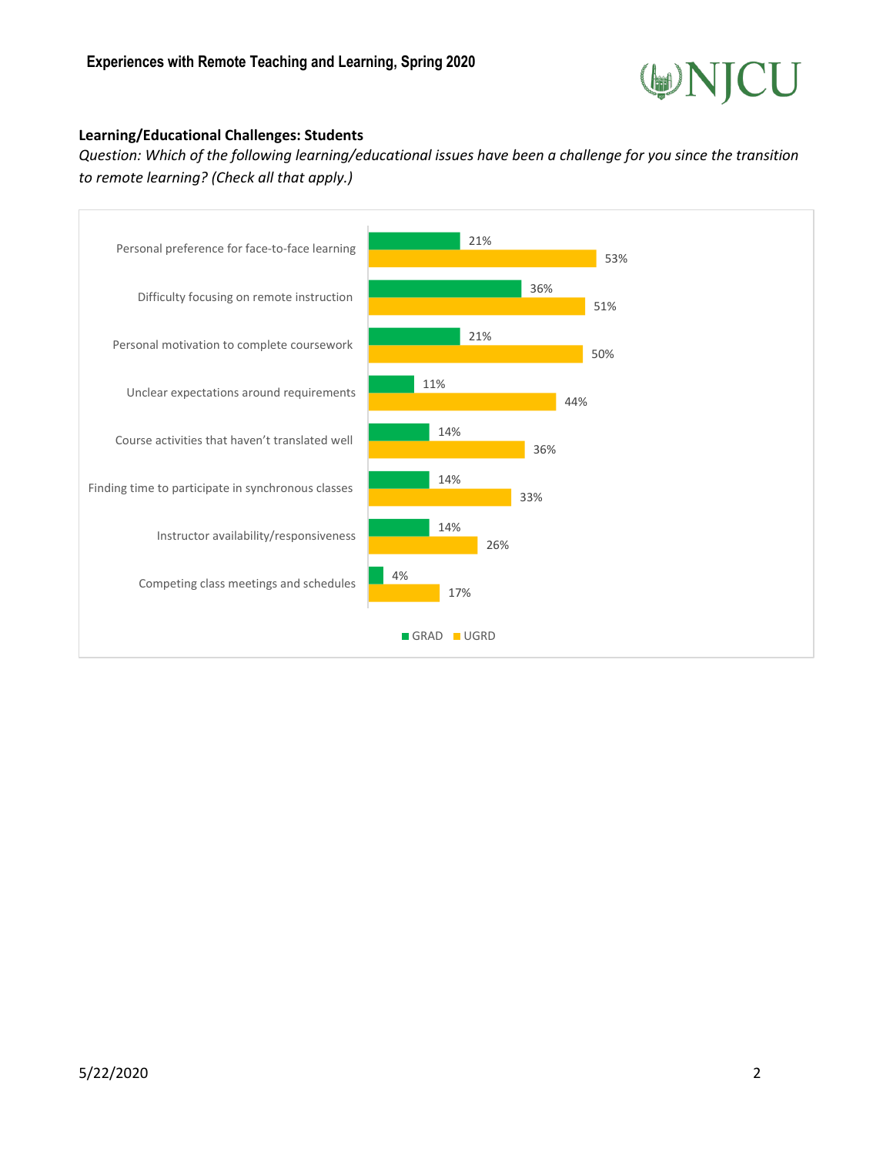

#### **Learning/Educational Challenges: Students**

*Question: Which of the following learning/educational issues have been a challenge for you since the transition to remote learning? (Check all that apply.)*

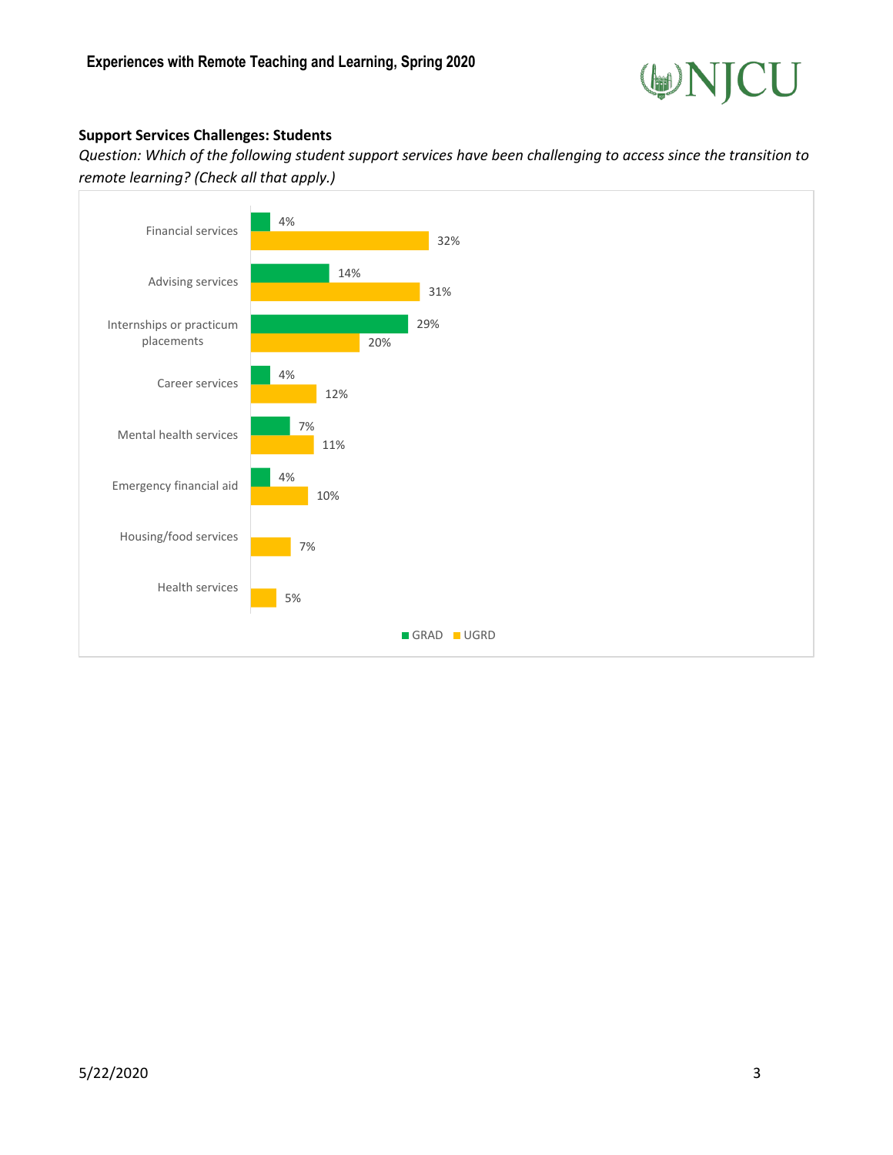

#### **Support Services Challenges: Students**

*Question: Which of the following student support services have been challenging to access since the transition to remote learning? (Check all that apply.)*

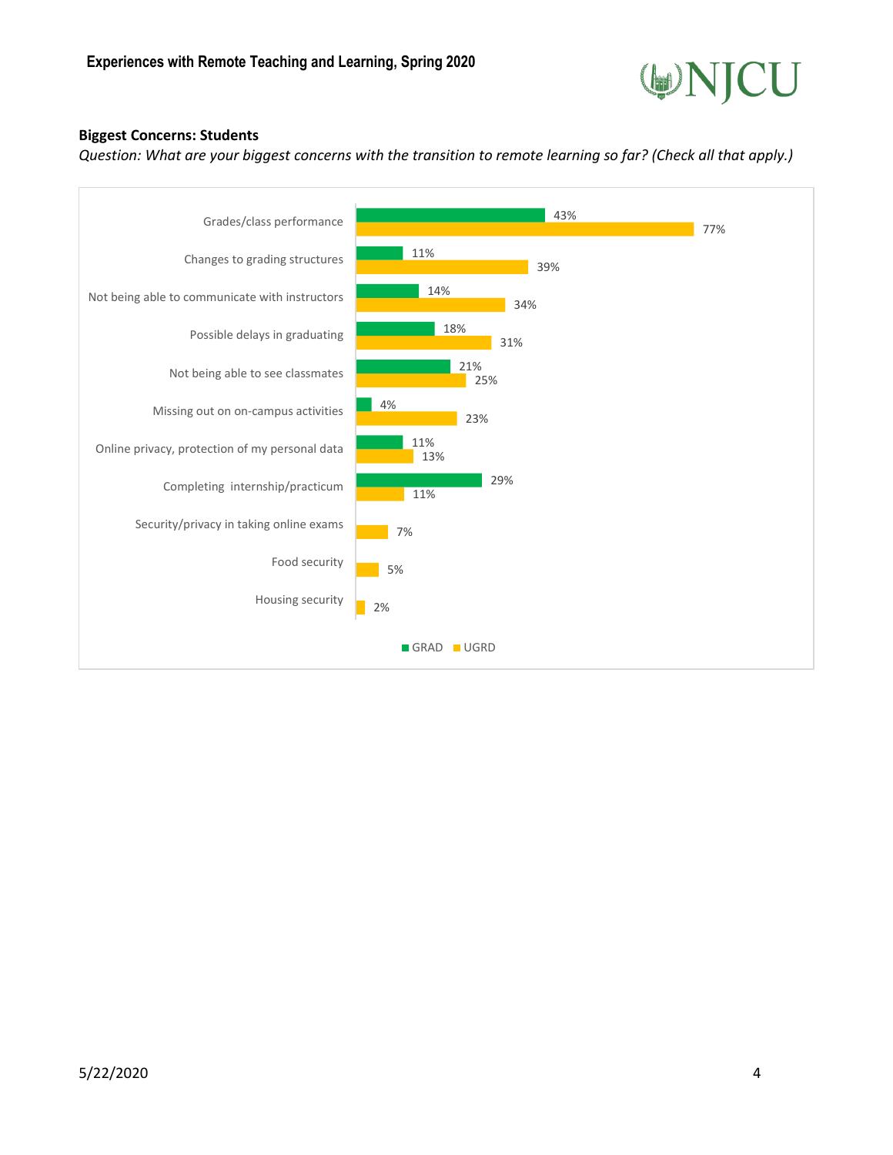

#### **Biggest Concerns: Students**

*Question: What are your biggest concerns with the transition to remote learning so far? (Check all that apply.)*

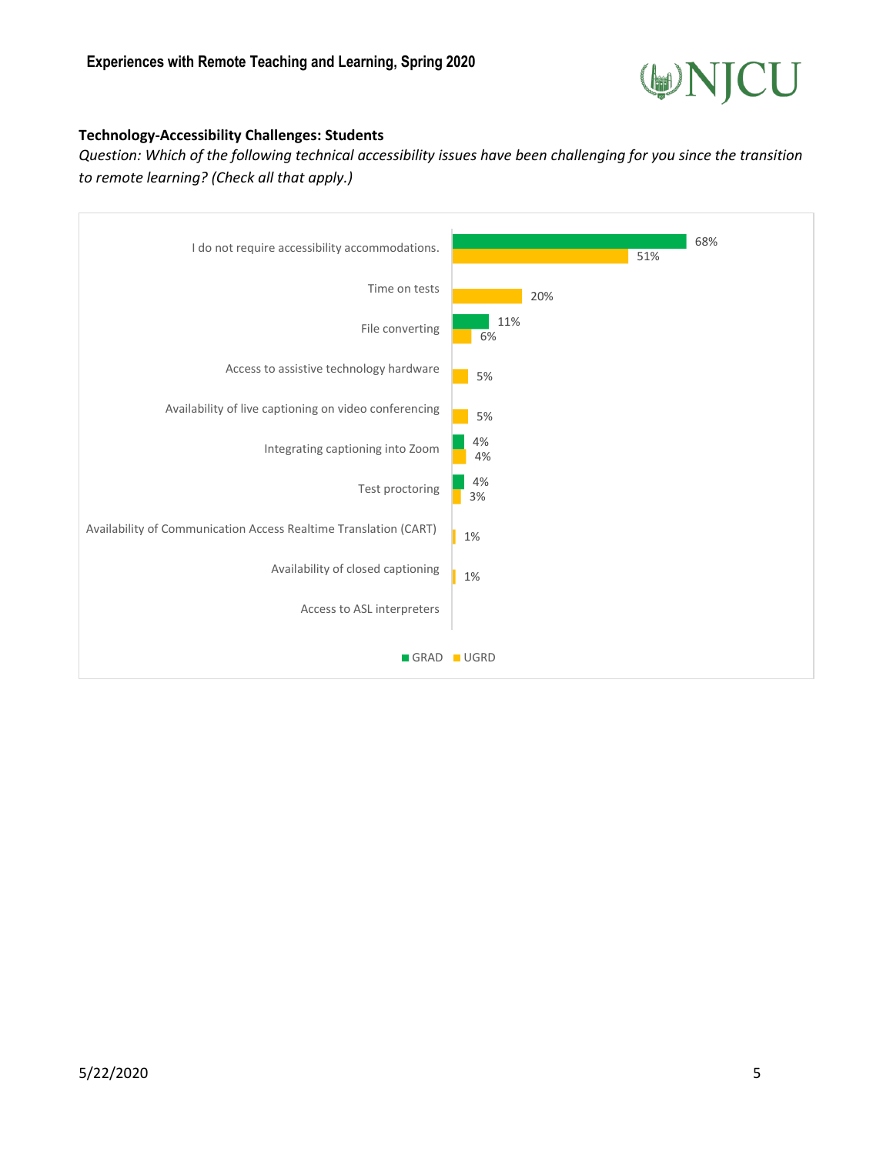![](_page_4_Picture_1.jpeg)

#### **Technology-Accessibility Challenges: Students**

*Question: Which of the following technical accessibility issues have been challenging for you since the transition to remote learning? (Check all that apply.)*

![](_page_4_Figure_4.jpeg)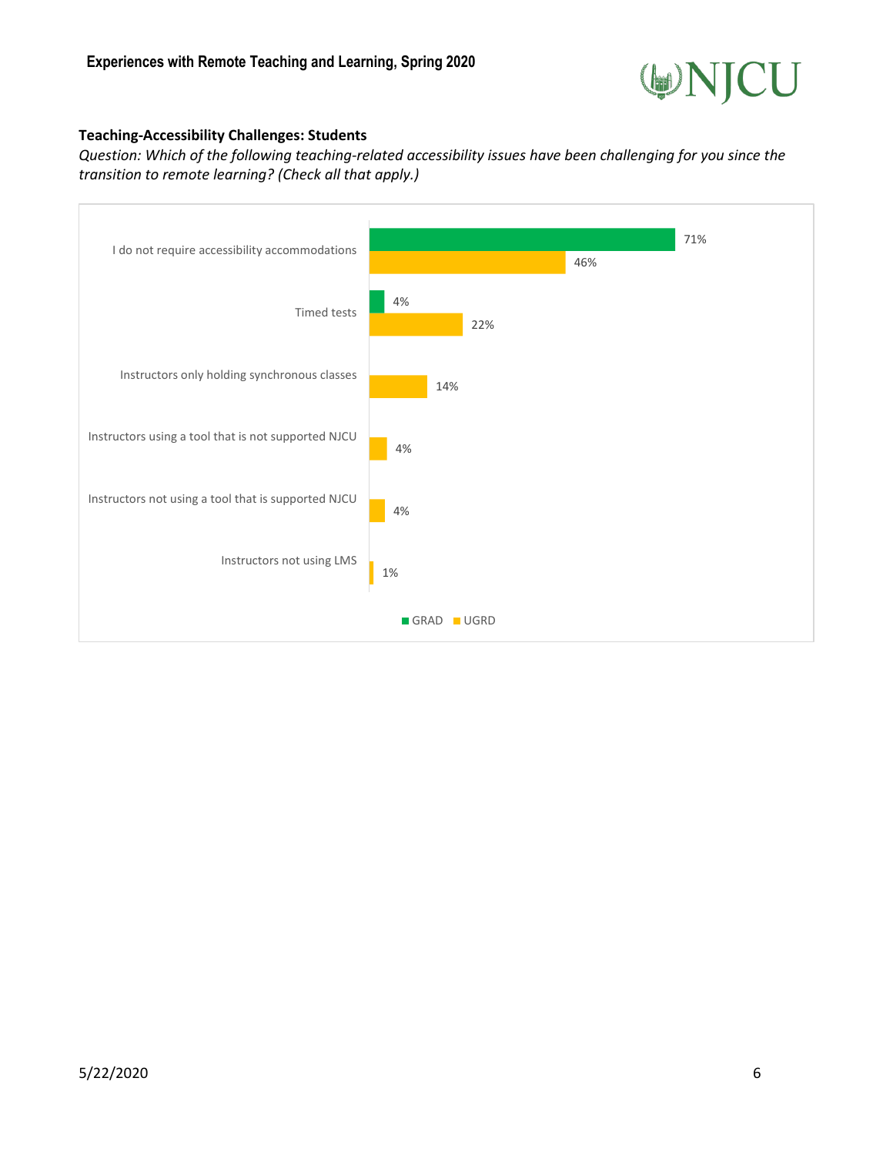![](_page_5_Picture_1.jpeg)

#### **Teaching-Accessibility Challenges: Students**

*Question: Which of the following teaching-related accessibility issues have been challenging for you since the transition to remote learning? (Check all that apply.)*

![](_page_5_Figure_4.jpeg)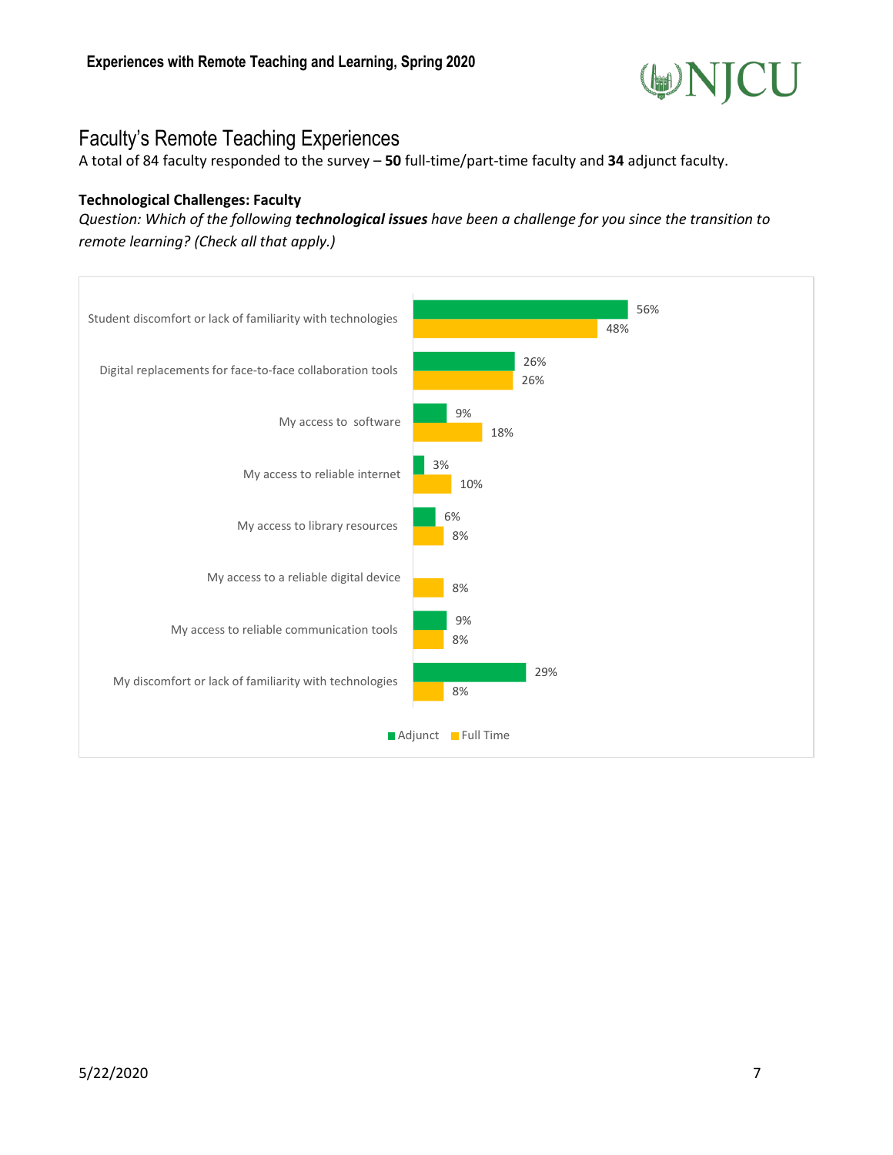![](_page_6_Picture_1.jpeg)

# Faculty's Remote Teaching Experiences

A total of 84 faculty responded to the survey – **50** full-time/part-time faculty and **34** adjunct faculty.

#### **Technological Challenges: Faculty**

*Question: Which of the following technological issues have been a challenge for you since the transition to remote learning? (Check all that apply.)*

![](_page_6_Figure_6.jpeg)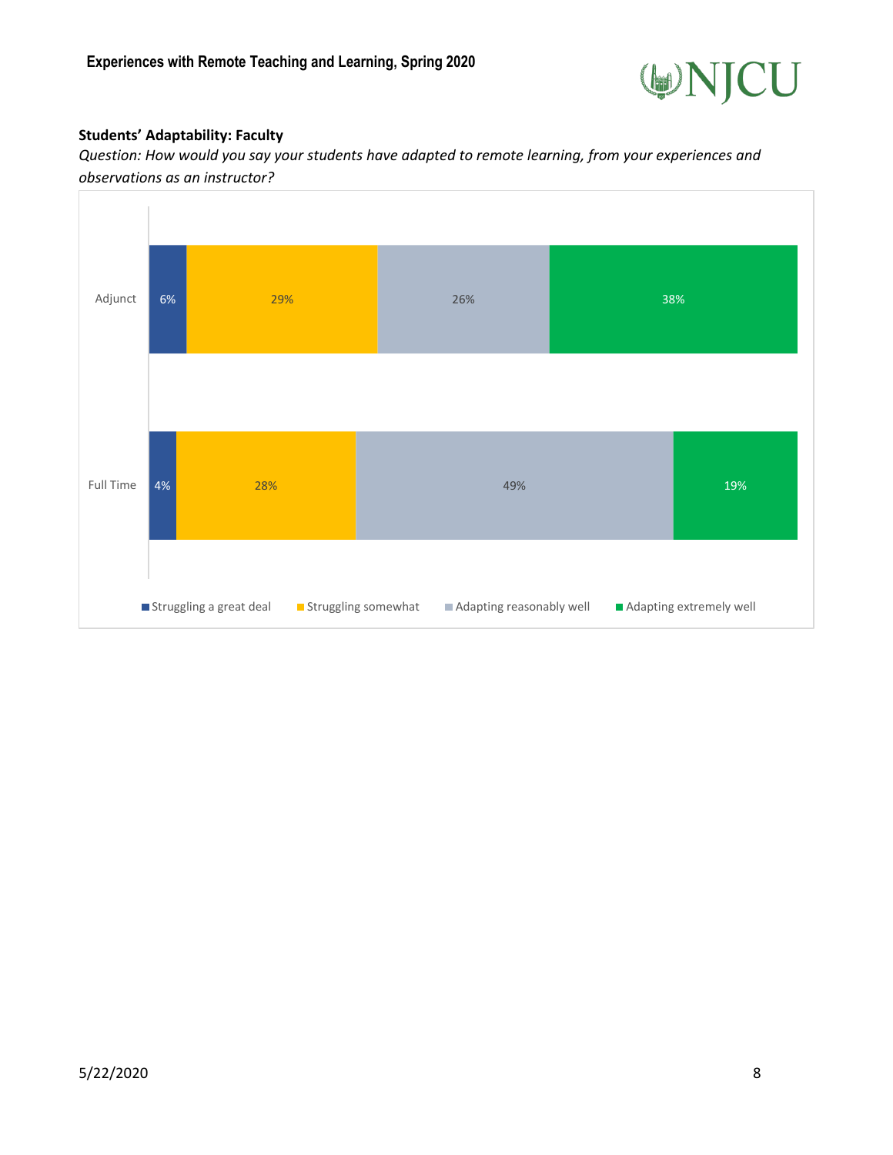![](_page_7_Picture_1.jpeg)

#### **Students' Adaptability: Faculty**

*Question: How would you say your students have adapted to remote learning, from your experiences and observations as an instructor?*

![](_page_7_Figure_4.jpeg)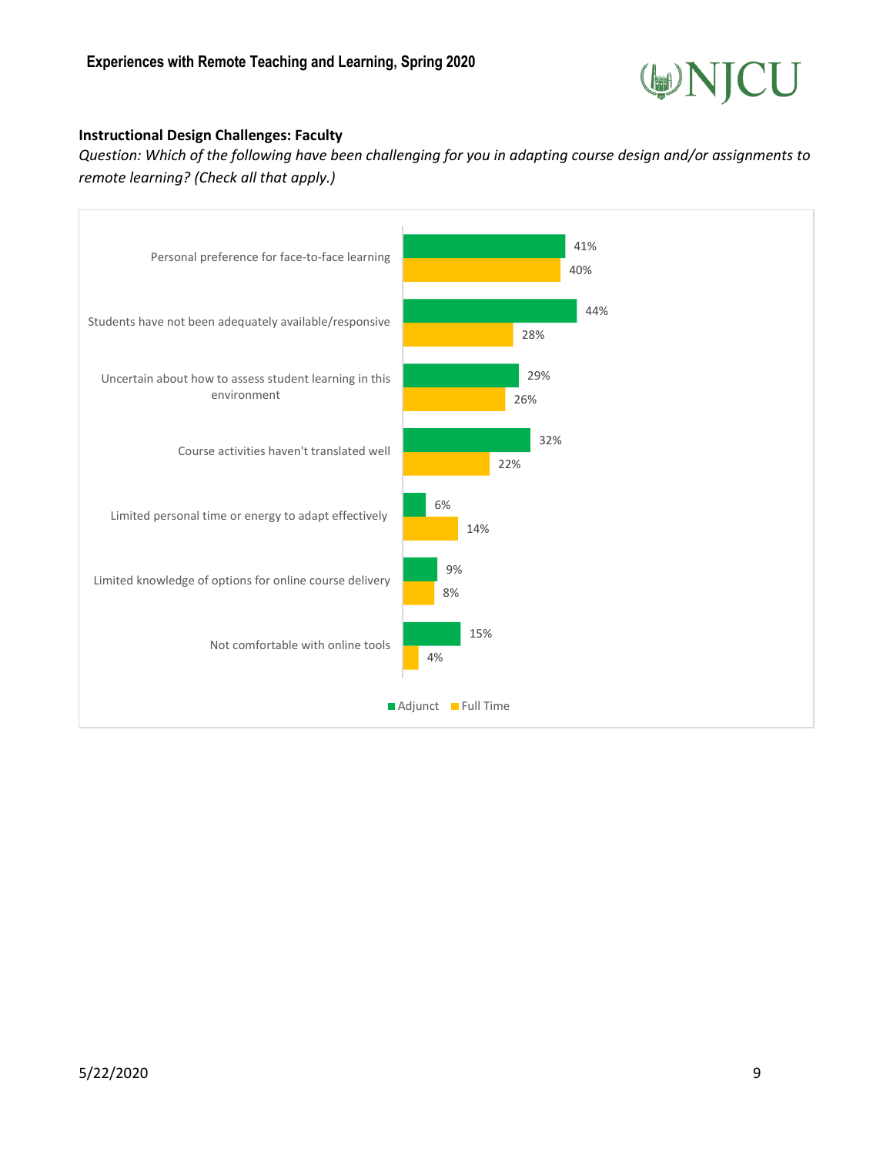![](_page_8_Picture_1.jpeg)

#### **Instructional Design Challenges: Faculty**

*Question: Which of the following have been challenging for you in adapting course design and/or assignments to remote learning? (Check all that apply.)*

![](_page_8_Figure_4.jpeg)